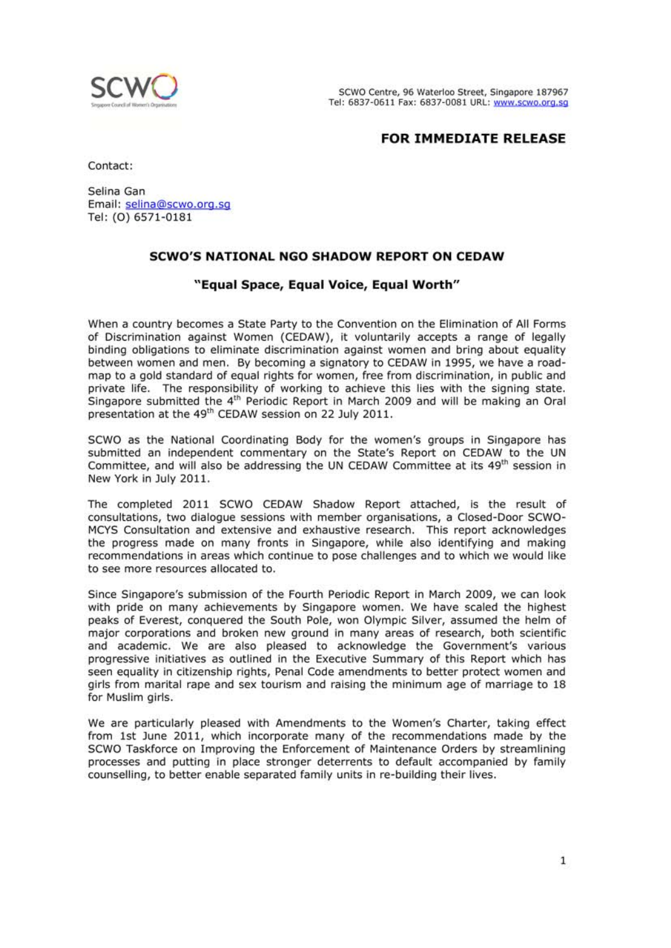

# **FOR IMMEDIATE RELEASE**

Contact:

Selina Gan Email: selina@scwo.org.sg Tel: (0) 6571-0181

## **SCWO'S NATIONAL NGO SHADOW REPORT ON CEDAW**

### "Equal Space, Equal Voice, Equal Worth"

When a country becomes a State Party to the Convention on the Elimination of All Forms of Discrimination against Women (CEDAW), it voluntarily accepts a range of legally binding obligations to eliminate discrimination against women and bring about equality between women and men. By becoming a signatory to CEDAW in 1995, we have a roadmap to a gold standard of equal rights for women, free from discrimination, in public and private life. The responsibility of working to achieve this lies with the signing state. Singapore submitted the 4<sup>th</sup> Periodic Report in March 2009 and will be making an Oral presentation at the 49<sup>th</sup> CEDAW session on 22 July 2011.

SCWO as the National Coordinating Body for the women's groups in Singapore has submitted an independent commentary on the State's Report on CEDAW to the UN Committee, and will also be addressing the UN CEDAW Committee at its 49<sup>th</sup> session in New York in July 2011.

The completed 2011 SCWO CEDAW Shadow Report attached, is the result of consultations, two dialogue sessions with member organisations, a Closed-Door SCWO-MCYS Consultation and extensive and exhaustive research. This report acknowledges the progress made on many fronts in Singapore, while also identifying and making recommendations in areas which continue to pose challenges and to which we would like to see more resources allocated to.

Since Singapore's submission of the Fourth Periodic Report in March 2009, we can look with pride on many achievements by Singapore women. We have scaled the highest peaks of Everest, conquered the South Pole, won Olympic Silver, assumed the helm of major corporations and broken new ground in many areas of research, both scientific and academic. We are also pleased to acknowledge the Government's various progressive initiatives as outlined in the Executive Summary of this Report which has seen equality in citizenship rights, Penal Code amendments to better protect women and girls from marital rape and sex tourism and raising the minimum age of marriage to 18 for Muslim girls.

We are particularly pleased with Amendments to the Women's Charter, taking effect from 1st June 2011, which incorporate many of the recommendations made by the SCWO Taskforce on Improving the Enforcement of Maintenance Orders by streamlining processes and putting in place stronger deterrents to default accompanied by family counselling, to better enable separated family units in re-building their lives.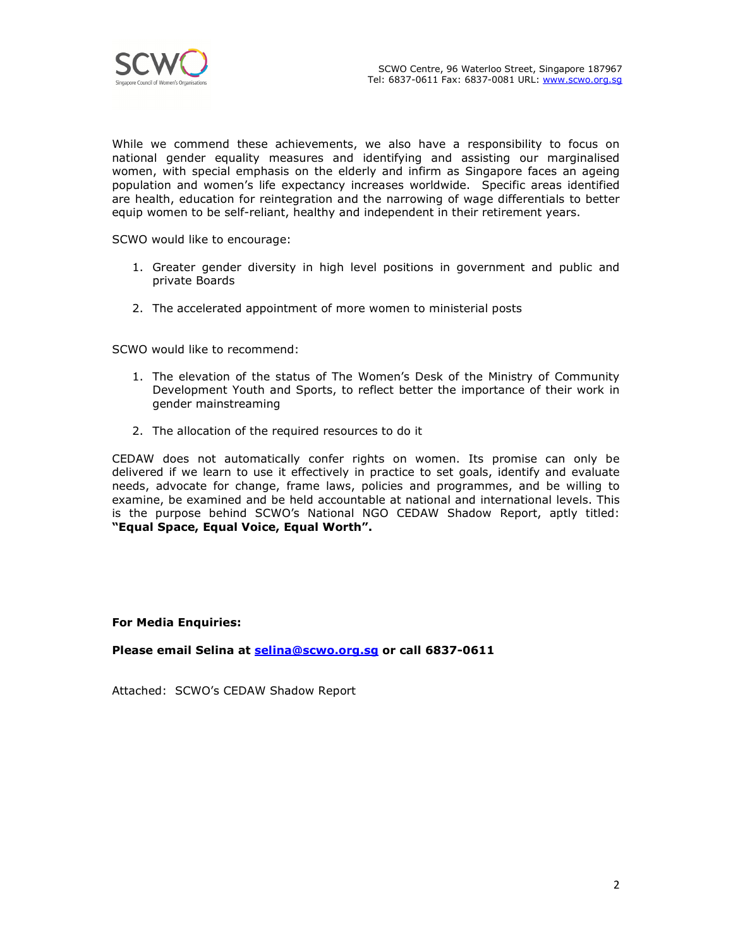

While we commend these achievements, we also have a responsibility to focus on national gender equality measures and identifying and assisting our marginalised women, with special emphasis on the elderly and infirm as Singapore faces an ageing population and women's life expectancy increases worldwide. Specific areas identified are health, education for reintegration and the narrowing of wage differentials to better equip women to be self-reliant, healthy and independent in their retirement years.

SCWO would like to encourage:

- 1. Greater gender diversity in high level positions in government and public and private Boards
- 2. The accelerated appointment of more women to ministerial posts

SCWO would like to recommend:

- 1. The elevation of the status of The Women's Desk of the Ministry of Community Development Youth and Sports, to reflect better the importance of their work in gender mainstreaming
- 2. The allocation of the required resources to do it

CEDAW does not automatically confer rights on women. Its promise can only be delivered if we learn to use it effectively in practice to set goals, identify and evaluate needs, advocate for change, frame laws, policies and programmes, and be willing to examine, be examined and be held accountable at national and international levels. This is the purpose behind SCWO's National NGO CEDAW Shadow Report, aptly titled: **"Equal Space, Equal Voice, Equal Worth".** 

**For Media Enquiries:** 

**Please email Selina at selina@scwo.org.sg or call 6837-0611** 

Attached: SCWO's CEDAW Shadow Report